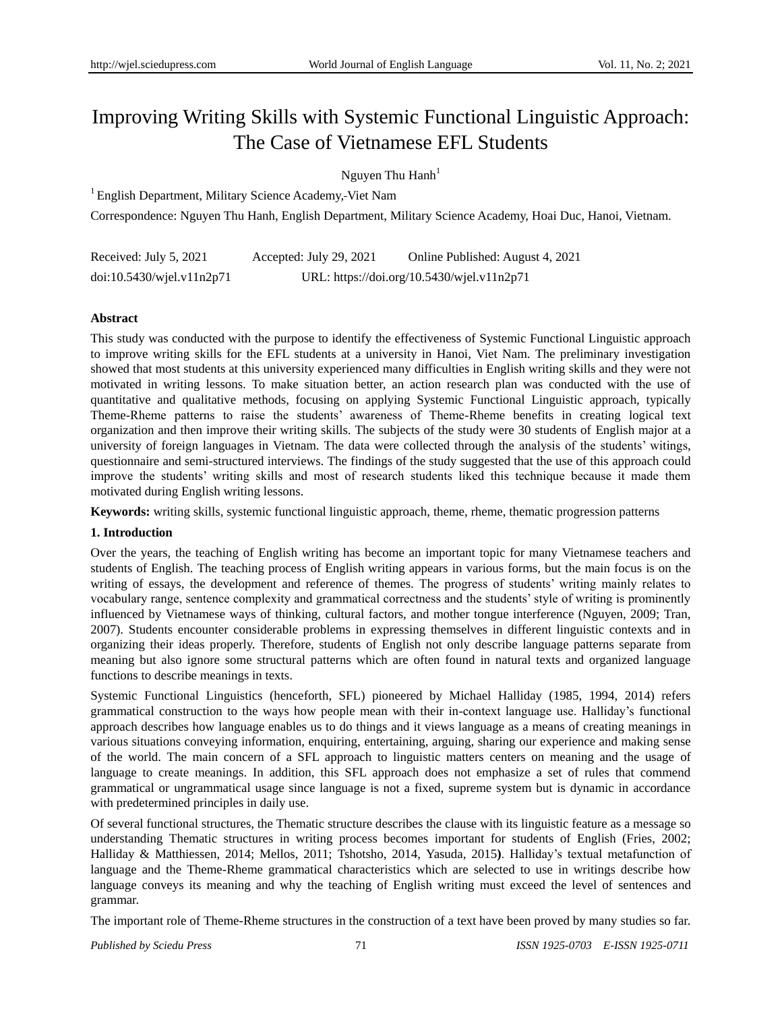# Improving Writing Skills with Systemic Functional Linguistic Approach: The Case of Vietnamese EFL Students

# Nguyen Thu Hanh<sup>1</sup>

<sup>1</sup> English Department, Military Science Academy, Viet Nam

Correspondence: Nguyen Thu Hanh, English Department, Military Science Academy, Hoai Duc, Hanoi, Vietnam.

| Received: July 5, 2021    | Accepted: July 29, 2021 | Online Published: August 4, 2021           |
|---------------------------|-------------------------|--------------------------------------------|
| doi:10.5430/wjel.v11n2p71 |                         | URL: https://doi.org/10.5430/wjel.v11n2p71 |

## **Abstract**

This study was conducted with the purpose to identify the effectiveness of Systemic Functional Linguistic approach to improve writing skills for the EFL students at a university in Hanoi, Viet Nam. The preliminary investigation showed that most students at this university experienced many difficulties in English writing skills and they were not motivated in writing lessons. To make situation better, an action research plan was conducted with the use of quantitative and qualitative methods, focusing on applying Systemic Functional Linguistic approach, typically Theme-Rheme patterns to raise the students" awareness of Theme-Rheme benefits in creating logical text organization and then improve their writing skills. The subjects of the study were 30 students of English major at a university of foreign languages in Vietnam. The data were collected through the analysis of the students" witings, questionnaire and semi-structured interviews. The findings of the study suggested that the use of this approach could improve the students" writing skills and most of research students liked this technique because it made them motivated during English writing lessons.

**Keywords:** writing skills, systemic functional linguistic approach, theme, rheme, thematic progression patterns

## **1. Introduction**

Over the years, the teaching of English writing has become an important topic for many Vietnamese teachers and students of English. The teaching process of English writing appears in various forms, but the main focus is on the writing of essays, the development and reference of themes. The progress of students' writing mainly relates to vocabulary range, sentence complexity and grammatical correctness and the students" style of writing is prominently influenced by Vietnamese ways of thinking, cultural factors, and mother tongue interference (Nguyen, 2009; Tran, 2007). Students encounter considerable problems in expressing themselves in different linguistic contexts and in organizing their ideas properly. Therefore, students of English not only describe language patterns separate from meaning but also ignore some structural patterns which are often found in natural texts and organized language functions to describe meanings in texts.

Systemic Functional Linguistics (henceforth, SFL) pioneered by Michael Halliday (1985, 1994, 2014) refers grammatical construction to the ways how people mean with their in-context language use. Halliday"s functional approach describes how language enables us to do things and it views language as a means of creating meanings in various situations conveying information, enquiring, entertaining, arguing, sharing our experience and making sense of the world. The main concern of a SFL approach to linguistic matters centers on meaning and the usage of language to create meanings. In addition, this SFL approach does not emphasize a set of rules that commend grammatical or ungrammatical usage since language is not a fixed, supreme system but is dynamic in accordance with predetermined principles in daily use.

Of several functional structures, the Thematic structure describes the clause with its linguistic feature as a message so understanding Thematic structures in writing process becomes important for students of English (Fries, 2002; Halliday & Matthiessen, 2014; Mellos, 2011; Tshotsho, 2014, Yasuda, 2015**)**. Halliday"s textual metafunction of language and the Theme-Rheme grammatical characteristics which are selected to use in writings describe how language conveys its meaning and why the teaching of English writing must exceed the level of sentences and grammar.

The important role of Theme-Rheme structures in the construction of a text have been proved by many studies so far.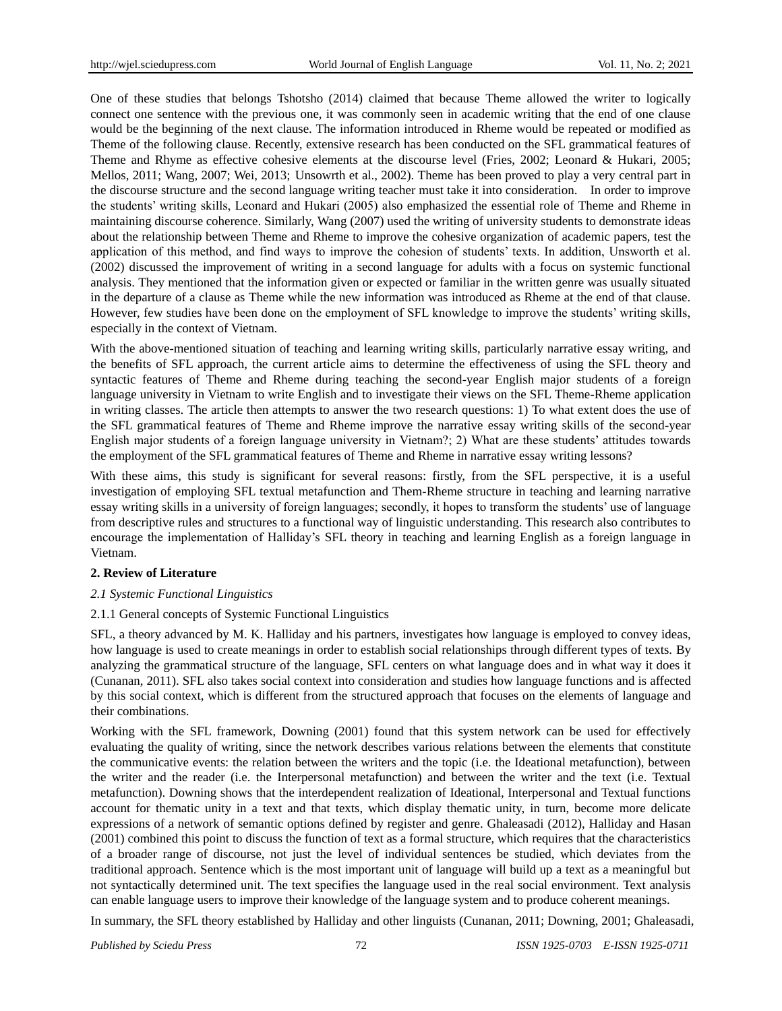One of these studies that belongs Tshotsho (2014) claimed that because Theme allowed the writer to logically connect one sentence with the previous one, it was commonly seen in academic writing that the end of one clause would be the beginning of the next clause. The information introduced in Rheme would be repeated or modified as Theme of the following clause. Recently, extensive research has been conducted on the SFL grammatical features of Theme and Rhyme as effective cohesive elements at the discourse level (Fries, 2002; Leonard & Hukari, 2005; Mellos, 2011; Wang, 2007; Wei, 2013; Unsowrth et al., 2002). Theme has been proved to play a very central part in the discourse structure and the second language writing teacher must take it into consideration. In order to improve the students" writing skills, Leonard and Hukari (2005) also emphasized the essential role of Theme and Rheme in maintaining discourse coherence. Similarly, Wang (2007) used the writing of university students to demonstrate ideas about the relationship between Theme and Rheme to improve the cohesive organization of academic papers, test the application of this method, and find ways to improve the cohesion of students" texts. In addition, Unsworth et al. (2002) discussed the improvement of writing in a second language for adults with a focus on systemic functional analysis. They mentioned that the information given or expected or familiar in the written genre was usually situated in the departure of a clause as Theme while the new information was introduced as Rheme at the end of that clause. However, few studies have been done on the employment of SFL knowledge to improve the students' writing skills, especially in the context of Vietnam.

With the above-mentioned situation of teaching and learning writing skills, particularly narrative essay writing, and the benefits of SFL approach, the current article aims to determine the effectiveness of using the SFL theory and syntactic features of Theme and Rheme during teaching the second-year English major students of a foreign language university in Vietnam to write English and to investigate their views on the SFL Theme-Rheme application in writing classes. The article then attempts to answer the two research questions: 1) To what extent does the use of the SFL grammatical features of Theme and Rheme improve the narrative essay writing skills of the second-year English major students of a foreign language university in Vietnam?; 2) What are these students" attitudes towards the employment of the SFL grammatical features of Theme and Rheme in narrative essay writing lessons?

With these aims, this study is significant for several reasons: firstly, from the SFL perspective, it is a useful investigation of employing SFL textual metafunction and Them-Rheme structure in teaching and learning narrative essay writing skills in a university of foreign languages; secondly, it hopes to transform the students' use of language from descriptive rules and structures to a functional way of linguistic understanding. This research also contributes to encourage the implementation of Halliday"s SFL theory in teaching and learning English as a foreign language in Vietnam.

## **2. Review of Literature**

## *2.1 Systemic Functional Linguistics*

## 2.1.1 General concepts of Systemic Functional Linguistics

SFL, a theory advanced by M. K. Halliday and his partners, investigates how language is employed to convey ideas, how language is used to create meanings in order to establish social relationships through different types of texts. By analyzing the grammatical structure of the language, SFL centers on what language does and in what way it does it (Cunanan, 2011). SFL also takes social context into consideration and studies how language functions and is affected by this social context, which is different from the structured approach that focuses on the elements of language and their combinations.

Working with the SFL framework, Downing (2001) found that this system network can be used for effectively evaluating the quality of writing, since the network describes various relations between the elements that constitute the communicative events: the relation between the writers and the topic (i.e. the Ideational metafunction), between the writer and the reader (i.e. the Interpersonal metafunction) and between the writer and the text (i.e. Textual metafunction). Downing shows that the interdependent realization of Ideational, Interpersonal and Textual functions account for thematic unity in a text and that texts, which display thematic unity, in turn, become more delicate expressions of a network of semantic options defined by register and genre. Ghaleasadi (2012), Halliday and Hasan (2001) combined this point to discuss the function of text as a formal structure, which requires that the characteristics of a broader range of discourse, not just the level of individual sentences be studied, which deviates from the traditional approach. Sentence which is the most important unit of language will build up a text as a meaningful but not syntactically determined unit. The text specifies the language used in the real social environment. Text analysis can enable language users to improve their knowledge of the language system and to produce coherent meanings.

In summary, the SFL theory established by Halliday and other linguists (Cunanan, 2011; Downing, 2001; Ghaleasadi,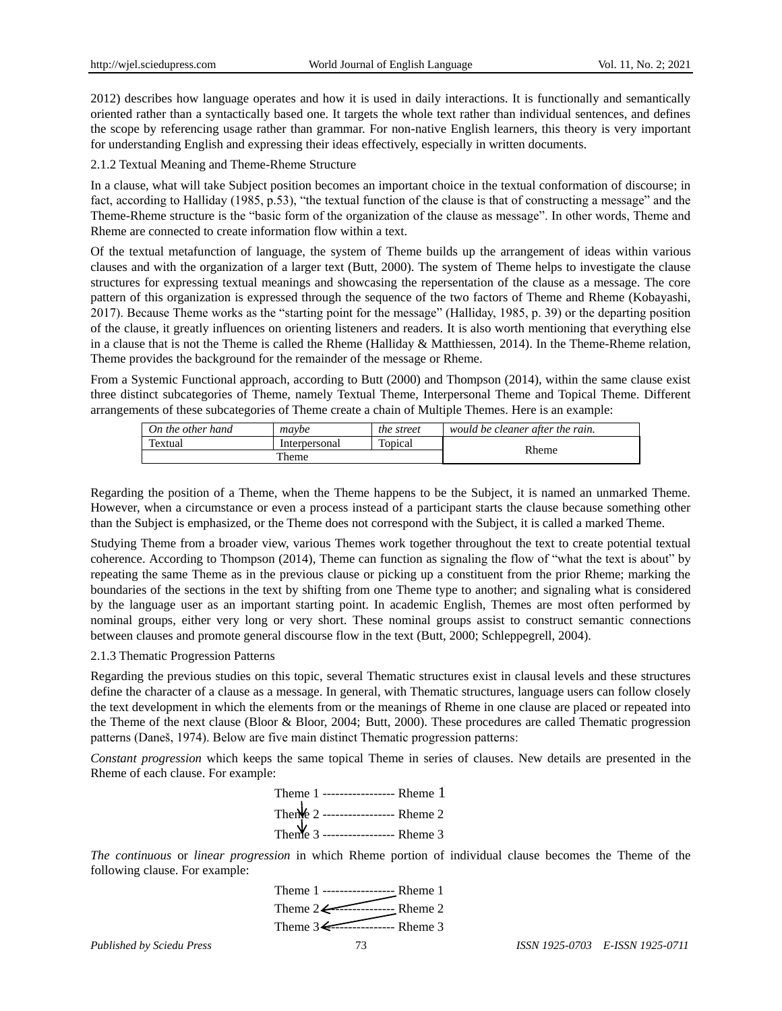2012) describes how language operates and how it is used in daily interactions. It is functionally and semantically oriented rather than a syntactically based one. It targets the whole text rather than individual sentences, and defines the scope by referencing usage rather than grammar. For non-native English learners, this theory is very important for understanding English and expressing their ideas effectively, especially in written documents.

2.1.2 Textual Meaning and Theme-Rheme Structure

In a clause, what will take Subject position becomes an important choice in the textual conformation of discourse; in fact, according to Halliday (1985, p.53), "the textual function of the clause is that of constructing a message" and the Theme-Rheme structure is the "basic form of the organization of the clause as message". In other words, Theme and Rheme are connected to create information flow within a text.

Of the textual metafunction of language, the system of Theme builds up the arrangement of ideas within various clauses and with the organization of a larger text (Butt, 2000). The system of Theme helps to investigate the clause structures for expressing textual meanings and showcasing the repersentation of the clause as a message. The core pattern of this organization is expressed through the sequence of the two factors of Theme and Rheme (Kobayashi, 2017). Because Theme works as the "starting point for the message" (Halliday, 1985, p. 39) or the departing position of the clause, it greatly influences on orienting listeners and readers. It is also worth mentioning that everything else in a clause that is not the Theme is called the Rheme (Halliday & Matthiessen, 2014). In the Theme-Rheme relation, Theme provides the background for the remainder of the message or Rheme.

From a Systemic Functional approach, according to Butt (2000) and Thompson (2014), within the same clause exist three distinct subcategories of Theme, namely Textual Theme, Interpersonal Theme and Topical Theme. Different arrangements of these subcategories of Theme create a chain of Multiple Themes. Here is an example:

| On the other hand | maybe         | the street | would be cleaner after the rain. |
|-------------------|---------------|------------|----------------------------------|
| Textual           | Interpersonal | Topical    | Rheme                            |
| Theme             |               |            |                                  |

Regarding the position of a Theme, when the Theme happens to be the Subject, it is named an unmarked Theme. However, when a circumstance or even a process instead of a participant starts the clause because something other than the Subject is emphasized, or the Theme does not correspond with the Subject, it is called a marked Theme.

Studying Theme from a broader view, various Themes work together throughout the text to create potential textual coherence. According to Thompson (2014), Theme can function as signaling the flow of "what the text is about" by repeating the same Theme as in the previous clause or picking up a constituent from the prior Rheme; marking the boundaries of the sections in the text by shifting from one Theme type to another; and signaling what is considered by the language user as an important starting point. In academic English, Themes are most often performed by nominal groups, either very long or very short. These nominal groups assist to construct semantic connections between clauses and promote general discourse flow in the text (Butt, 2000; Schleppegrell, 2004).

#### 2.1.3 Thematic Progression Patterns

Regarding the previous studies on this topic, several Thematic structures exist in clausal levels and these structures define the character of a clause as a message. In general, with Thematic structures, language users can follow closely the text development in which the elements from or the meanings of Rheme in one clause are placed or repeated into the Theme of the next clause (Bloor & Bloor, 2004; Butt, 2000). These procedures are called Thematic progression patterns (Daneš, 1974). Below are five main distinct Thematic progression patterns:

*Constant progression* which keeps the same topical Theme in series of clauses. New details are presented in the Rheme of each clause. For example:

| Theme 1 ----------------- Rheme 1              |  |
|------------------------------------------------|--|
| Thene 2 ------------------ Rheme 2             |  |
| Theme 3<br>Theme 3 ------------------- Rheme 3 |  |

*The continuous* or *linear progression* in which Rheme portion of individual clause becomes the Theme of the following clause. For example:

> Theme 1 ------------------**--** Rheme 1 Theme  $2 \leftarrow$  Rheme 2 Theme 3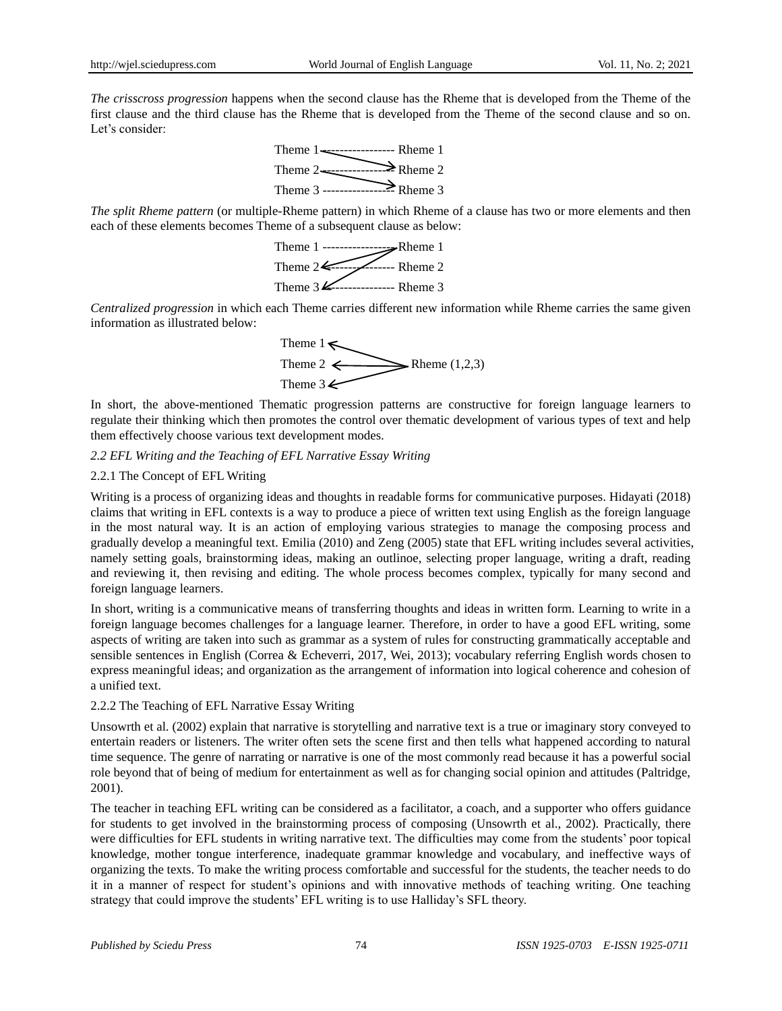*The crisscross progression* happens when the second clause has the Rheme that is developed from the Theme of the first clause and the third clause has the Rheme that is developed from the Theme of the second clause and so on. Let's consider:



*The split Rheme pattern* (or multiple-Rheme pattern) in which Rheme of a clause has two or more elements and then each of these elements becomes Theme of a subsequent clause as below:



*Centralized progression* in which each Theme carries different new information while Rheme carries the same given information as illustrated below:



In short, the above-mentioned Thematic progression patterns are constructive for foreign language learners to regulate their thinking which then promotes the control over thematic development of various types of text and help them effectively choose various text development modes.

#### *2.2 EFL Writing and the Teaching of EFL Narrative Essay Writing*

#### 2.2.1 The Concept of EFL Writing

Writing is a process of organizing ideas and thoughts in readable forms for communicative purposes. Hidayati (2018) claims that writing in EFL contexts is a way to produce a piece of written text using English as the foreign language in the most natural way. It is an action of employing various strategies to manage the composing process and gradually develop a meaningful text. Emilia (2010) and Zeng (2005) state that EFL writing includes several activities, namely setting goals, brainstorming ideas, making an outlinoe, selecting proper language, writing a draft, reading and reviewing it, then revising and editing. The whole process becomes complex, typically for many second and foreign language learners.

In short, writing is a communicative means of transferring thoughts and ideas in written form. Learning to write in a foreign language becomes challenges for a language learner. Therefore, in order to have a good EFL writing, some aspects of writing are taken into such as grammar as a system of rules for constructing grammatically acceptable and sensible sentences in English (Correa & Echeverri, 2017, Wei, 2013); vocabulary referring English words chosen to express meaningful ideas; and organization as the arrangement of information into logical coherence and cohesion of a unified text.

#### 2.2.2 The Teaching of EFL Narrative Essay Writing

Unsowrth et al. (2002) explain that narrative is storytelling and narrative text is a true or imaginary story conveyed to entertain readers or listeners. The writer often sets the scene first and then tells what happened according to natural time sequence. The genre of narrating or narrative is one of the most commonly read because it has a powerful social role beyond that of being of medium for entertainment as well as for changing social opinion and attitudes (Paltridge, 2001).

The teacher in teaching EFL writing can be considered as a facilitator, a coach, and a supporter who offers guidance for students to get involved in the brainstorming process of composing (Unsowrth et al., 2002). Practically, there were difficulties for EFL students in writing narrative text. The difficulties may come from the students" poor topical knowledge, mother tongue interference, inadequate grammar knowledge and vocabulary, and ineffective ways of organizing the texts. To make the writing process comfortable and successful for the students, the teacher needs to do it in a manner of respect for student"s opinions and with innovative methods of teaching writing. One teaching strategy that could improve the students" EFL writing is to use Halliday"s SFL theory.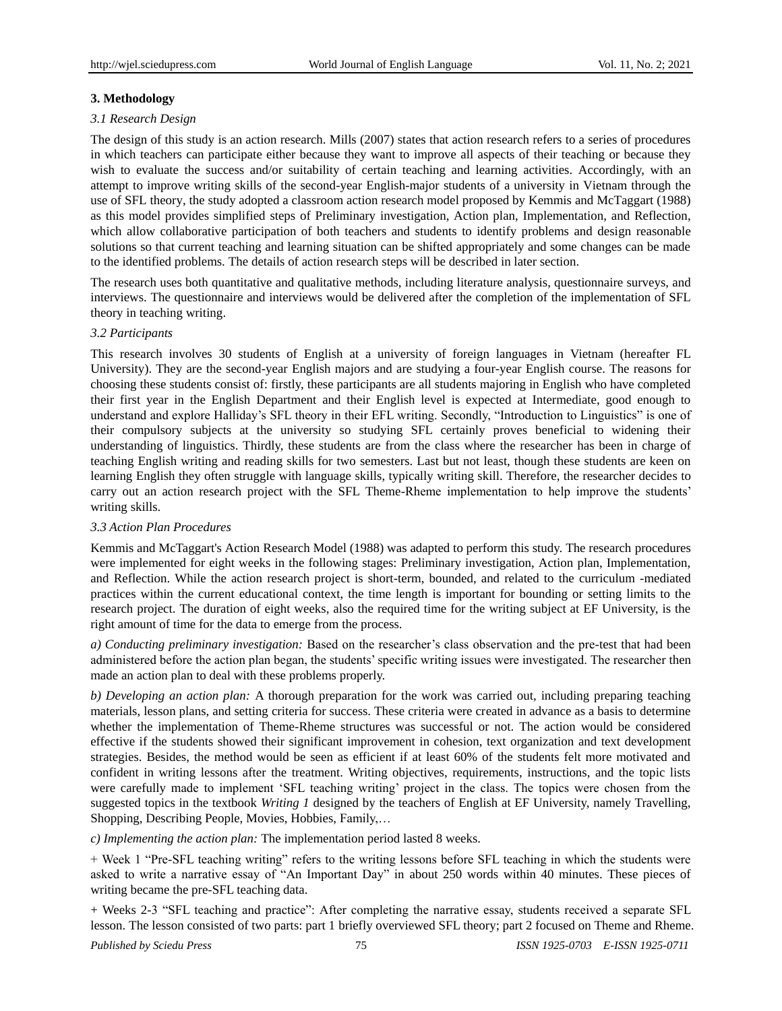## **3. Methodology**

## *3.1 Research Design*

The design of this study is an action research. Mills (2007) states that action research refers to a series of procedures in which teachers can participate either because they want to improve all aspects of their teaching or because they wish to evaluate the success and/or suitability of certain teaching and learning activities. Accordingly, with an attempt to improve writing skills of the second-year English-major students of a university in Vietnam through the use of SFL theory, the study adopted a classroom action research model proposed by Kemmis and McTaggart (1988) as this model provides simplified steps of Preliminary investigation, Action plan, Implementation, and Reflection, which allow collaborative participation of both teachers and students to identify problems and design reasonable solutions so that current teaching and learning situation can be shifted appropriately and some changes can be made to the identified problems. The details of action research steps will be described in later section.

The research uses both quantitative and qualitative methods, including literature analysis, questionnaire surveys, and interviews. The questionnaire and interviews would be delivered after the completion of the implementation of SFL theory in teaching writing.

## *3.2 Participants*

This research involves 30 students of English at a university of foreign languages in Vietnam (hereafter FL University). They are the second-year English majors and are studying a four-year English course. The reasons for choosing these students consist of: firstly, these participants are all students majoring in English who have completed their first year in the English Department and their English level is expected at Intermediate, good enough to understand and explore Halliday"s SFL theory in their EFL writing. Secondly, "Introduction to Linguistics" is one of their compulsory subjects at the university so studying SFL certainly proves beneficial to widening their understanding of linguistics. Thirdly, these students are from the class where the researcher has been in charge of teaching English writing and reading skills for two semesters. Last but not least, though these students are keen on learning English they often struggle with language skills, typically writing skill. Therefore, the researcher decides to carry out an action research project with the SFL Theme-Rheme implementation to help improve the students" writing skills.

## *3.3 Action Plan Procedures*

Kemmis and McTaggart's Action Research Model (1988) was adapted to perform this study. The research procedures were implemented for eight weeks in the following stages: Preliminary investigation, Action plan, Implementation, and Reflection. While the action research project is short-term, bounded, and related to the curriculum -mediated practices within the current educational context, the time length is important for bounding or setting limits to the research project. The duration of eight weeks, also the required time for the writing subject at EF University, is the right amount of time for the data to emerge from the process.

*a) Conducting preliminary investigation:* Based on the researcher"s class observation and the pre-test that had been administered before the action plan began, the students" specific writing issues were investigated. The researcher then made an action plan to deal with these problems properly.

*b) Developing an action plan:* A thorough preparation for the work was carried out, including preparing teaching materials, lesson plans, and setting criteria for success. These criteria were created in advance as a basis to determine whether the implementation of Theme-Rheme structures was successful or not. The action would be considered effective if the students showed their significant improvement in cohesion, text organization and text development strategies. Besides, the method would be seen as efficient if at least 60% of the students felt more motivated and confident in writing lessons after the treatment. Writing objectives, requirements, instructions, and the topic lists were carefully made to implement "SFL teaching writing" project in the class. The topics were chosen from the suggested topics in the textbook *Writing 1* designed by the teachers of English at EF University, namely Travelling, Shopping, Describing People, Movies, Hobbies, Family,…

*c) Implementing the action plan:* The implementation period lasted 8 weeks.

+ Week 1 "Pre-SFL teaching writing" refers to the writing lessons before SFL teaching in which the students were asked to write a narrative essay of "An Important Day" in about 250 words within 40 minutes. These pieces of writing became the pre-SFL teaching data.

+ Weeks 2-3 "SFL teaching and practice": After completing the narrative essay, students received a separate SFL lesson. The lesson consisted of two parts: part 1 briefly overviewed SFL theory; part 2 focused on Theme and Rheme.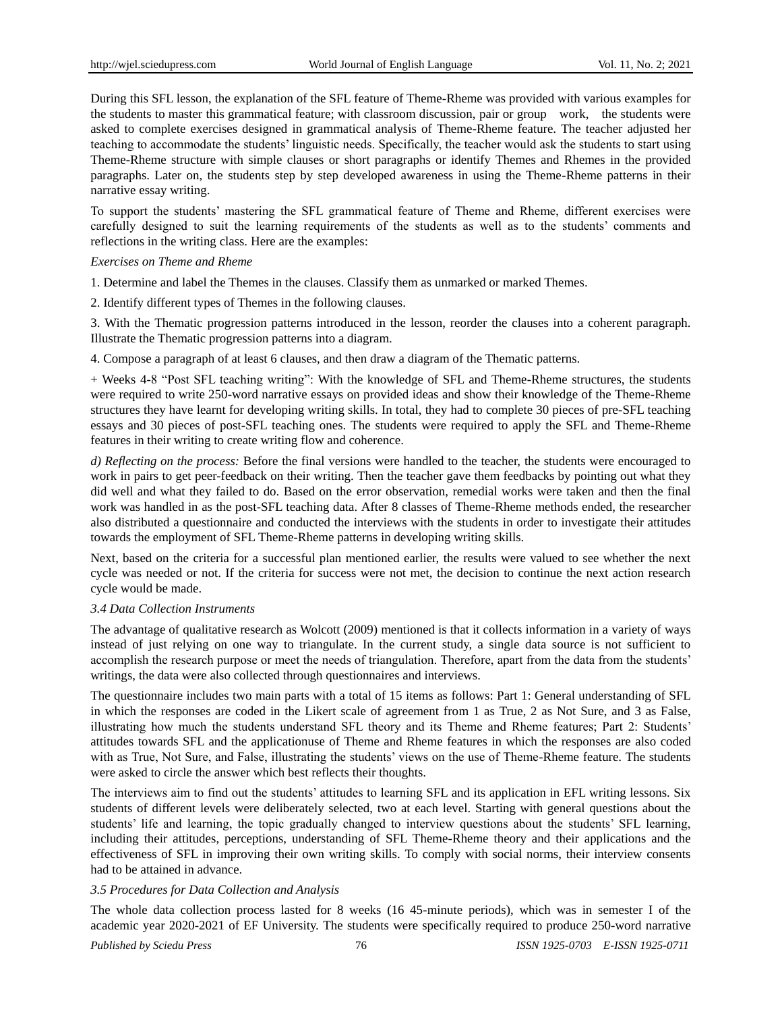During this SFL lesson, the explanation of the SFL feature of Theme-Rheme was provided with various examples for the students to master this grammatical feature; with classroom discussion, pair or group work, the students were asked to complete exercises designed in grammatical analysis of Theme-Rheme feature. The teacher adjusted her teaching to accommodate the students" linguistic needs. Specifically, the teacher would ask the students to start using Theme-Rheme structure with simple clauses or short paragraphs or identify Themes and Rhemes in the provided paragraphs. Later on, the students step by step developed awareness in using the Theme-Rheme patterns in their narrative essay writing.

To support the students" mastering the SFL grammatical feature of Theme and Rheme, different exercises were carefully designed to suit the learning requirements of the students as well as to the students" comments and reflections in the writing class. Here are the examples:

#### *Exercises on Theme and Rheme*

1. Determine and label the Themes in the clauses. Classify them as unmarked or marked Themes.

2. Identify different types of Themes in the following clauses.

3. With the Thematic progression patterns introduced in the lesson, reorder the clauses into a coherent paragraph. Illustrate the Thematic progression patterns into a diagram.

4. Compose a paragraph of at least 6 clauses, and then draw a diagram of the Thematic patterns.

+ Weeks 4-8 "Post SFL teaching writing": With the knowledge of SFL and Theme-Rheme structures, the students were required to write 250-word narrative essays on provided ideas and show their knowledge of the Theme-Rheme structures they have learnt for developing writing skills. In total, they had to complete 30 pieces of pre-SFL teaching essays and 30 pieces of post-SFL teaching ones. The students were required to apply the SFL and Theme-Rheme features in their writing to create writing flow and coherence.

*d) Reflecting on the process:* Before the final versions were handled to the teacher, the students were encouraged to work in pairs to get peer-feedback on their writing. Then the teacher gave them feedbacks by pointing out what they did well and what they failed to do. Based on the error observation, remedial works were taken and then the final work was handled in as the post-SFL teaching data. After 8 classes of Theme-Rheme methods ended, the researcher also distributed a questionnaire and conducted the interviews with the students in order to investigate their attitudes towards the employment of SFL Theme-Rheme patterns in developing writing skills.

Next, based on the criteria for a successful plan mentioned earlier, the results were valued to see whether the next cycle was needed or not. If the criteria for success were not met, the decision to continue the next action research cycle would be made.

#### *3.4 Data Collection Instruments*

The advantage of qualitative research as Wolcott (2009) mentioned is that it collects information in a variety of ways instead of just relying on one way to triangulate. In the current study, a single data source is not sufficient to accomplish the research purpose or meet the needs of triangulation. Therefore, apart from the data from the students' writings, the data were also collected through questionnaires and interviews.

The questionnaire includes two main parts with a total of 15 items as follows: Part 1: General understanding of SFL in which the responses are coded in the Likert scale of agreement from 1 as True, 2 as Not Sure, and 3 as False, illustrating how much the students understand SFL theory and its Theme and Rheme features; Part 2: Students" attitudes towards SFL and the applicationuse of Theme and Rheme features in which the responses are also coded with as True, Not Sure, and False, illustrating the students' views on the use of Theme-Rheme feature. The students were asked to circle the answer which best reflects their thoughts.

The interviews aim to find out the students" attitudes to learning SFL and its application in EFL writing lessons. Six students of different levels were deliberately selected, two at each level. Starting with general questions about the students' life and learning, the topic gradually changed to interview questions about the students' SFL learning, including their attitudes, perceptions, understanding of SFL Theme-Rheme theory and their applications and the effectiveness of SFL in improving their own writing skills. To comply with social norms, their interview consents had to be attained in advance.

## *3.5 Procedures for Data Collection and Analysis*

The whole data collection process lasted for 8 weeks (16 45-minute periods), which was in semester I of the academic year 2020-2021 of EF University. The students were specifically required to produce 250-word narrative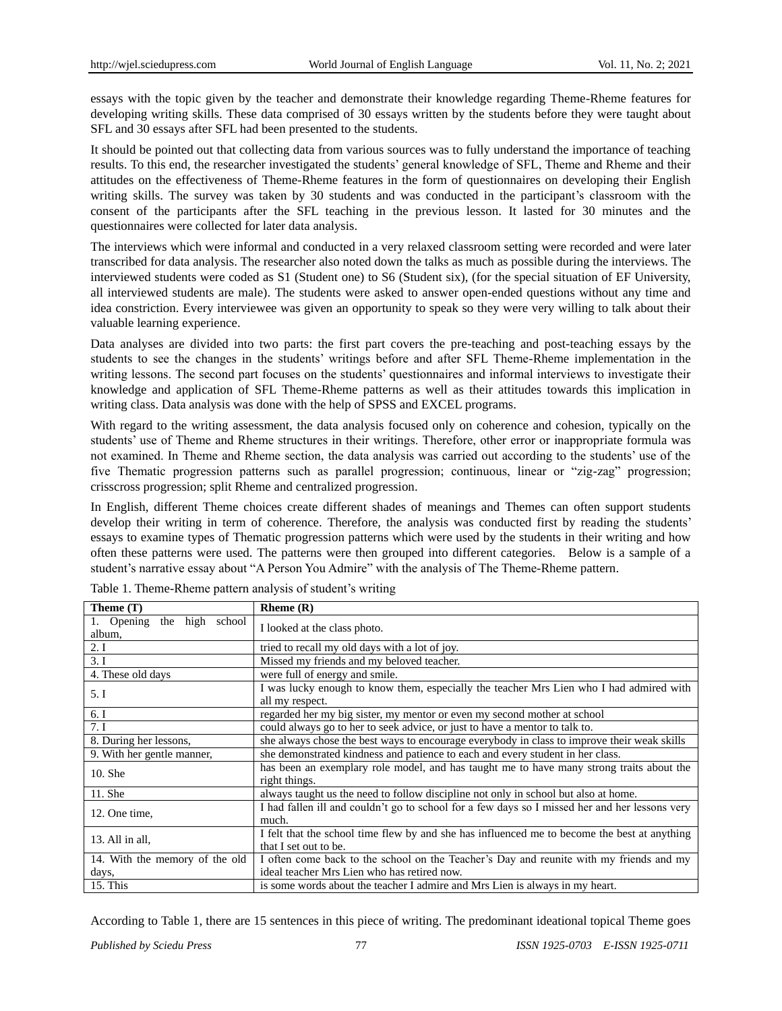essays with the topic given by the teacher and demonstrate their knowledge regarding Theme-Rheme features for developing writing skills. These data comprised of 30 essays written by the students before they were taught about SFL and 30 essays after SFL had been presented to the students.

It should be pointed out that collecting data from various sources was to fully understand the importance of teaching results. To this end, the researcher investigated the students" general knowledge of SFL, Theme and Rheme and their attitudes on the effectiveness of Theme-Rheme features in the form of questionnaires on developing their English writing skills. The survey was taken by 30 students and was conducted in the participant's classroom with the consent of the participants after the SFL teaching in the previous lesson. It lasted for 30 minutes and the questionnaires were collected for later data analysis.

The interviews which were informal and conducted in a very relaxed classroom setting were recorded and were later transcribed for data analysis. The researcher also noted down the talks as much as possible during the interviews. The interviewed students were coded as S1 (Student one) to S6 (Student six), (for the special situation of EF University, all interviewed students are male). The students were asked to answer open-ended questions without any time and idea constriction. Every interviewee was given an opportunity to speak so they were very willing to talk about their valuable learning experience.

Data analyses are divided into two parts: the first part covers the pre-teaching and post-teaching essays by the students to see the changes in the students" writings before and after SFL Theme-Rheme implementation in the writing lessons. The second part focuses on the students' questionnaires and informal interviews to investigate their knowledge and application of SFL Theme-Rheme patterns as well as their attitudes towards this implication in writing class. Data analysis was done with the help of SPSS and EXCEL programs.

With regard to the writing assessment, the data analysis focused only on coherence and cohesion, typically on the students' use of Theme and Rheme structures in their writings. Therefore, other error or inappropriate formula was not examined. In Theme and Rheme section, the data analysis was carried out according to the students" use of the five Thematic progression patterns such as parallel progression; continuous, linear or "zig-zag" progression; crisscross progression; split Rheme and centralized progression.

In English, different Theme choices create different shades of meanings and Themes can often support students develop their writing in term of coherence. Therefore, the analysis was conducted first by reading the students' essays to examine types of Thematic progression patterns which were used by the students in their writing and how often these patterns were used. The patterns were then grouped into different categories. Below is a sample of a student"s narrative essay about "A Person You Admire" with the analysis of The Theme-Rheme pattern.

| Theme (T)                               | Rheme $(R)$                                                                                                           |  |
|-----------------------------------------|-----------------------------------------------------------------------------------------------------------------------|--|
| the high school<br>1. Opening<br>album, | I looked at the class photo.                                                                                          |  |
| 2.1                                     | tried to recall my old days with a lot of joy.                                                                        |  |
| 3.1                                     | Missed my friends and my beloved teacher.                                                                             |  |
| 4. These old days                       | were full of energy and smile.                                                                                        |  |
| 5. I                                    | I was lucky enough to know them, especially the teacher Mrs Lien who I had admired with<br>all my respect.            |  |
| 6.1                                     | regarded her my big sister, my mentor or even my second mother at school                                              |  |
| 7.1                                     | could always go to her to seek advice, or just to have a mentor to talk to.                                           |  |
| 8. During her lessons,                  | she always chose the best ways to encourage everybody in class to improve their weak skills                           |  |
| 9. With her gentle manner,              | she demonstrated kindness and patience to each and every student in her class.                                        |  |
| 10. She                                 | has been an exemplary role model, and has taught me to have many strong traits about the<br>right things.             |  |
| 11. She                                 | always taught us the need to follow discipline not only in school but also at home.                                   |  |
| 12. One time,                           | I had fallen ill and couldn't go to school for a few days so I missed her and her lessons very<br>much.               |  |
| 13. All in all,                         | I felt that the school time flew by and she has influenced me to become the best at anything<br>that I set out to be. |  |
| 14. With the memory of the old          | I often come back to the school on the Teacher's Day and reunite with my friends and my                               |  |
| days,                                   | ideal teacher Mrs Lien who has retired now.                                                                           |  |
| 15. This                                | is some words about the teacher I admire and Mrs Lien is always in my heart.                                          |  |

Table 1. Theme-Rheme pattern analysis of student's writing

According to Table 1, there are 15 sentences in this piece of writing. The predominant ideational topical Theme goes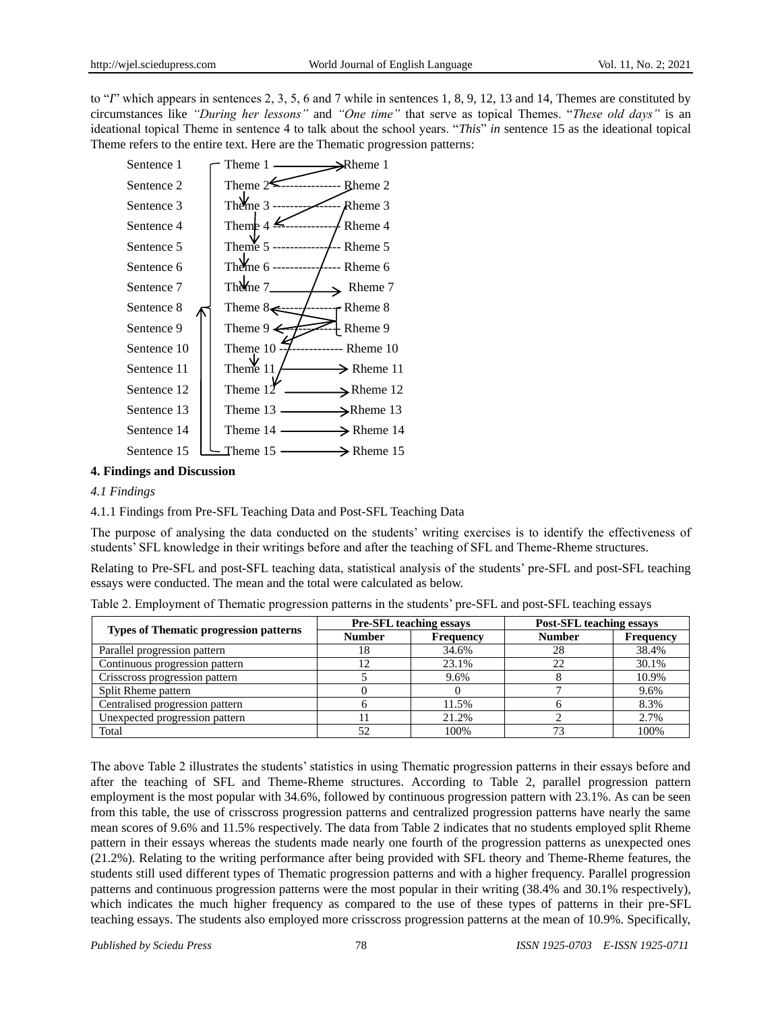to "*I*" which appears in sentences 2, 3, 5, 6 and 7 while in sentences 1, 8, 9, 12, 13 and 14, Themes are constituted by circumstances like *"During her lessons"* and *"One time"* that serve as topical Themes. "*These old days"* is an ideational topical Theme in sentence 4 to talk about the school years. "*This*" *in* sentence 15 as the ideational topical Theme refers to the entire text. Here are the Thematic progression patterns:



#### **4. Findings and Discussion**

#### *4.1 Findings*

4.1.1 Findings from Pre-SFL Teaching Data and Post-SFL Teaching Data

The purpose of analysing the data conducted on the students" writing exercises is to identify the effectiveness of students" SFL knowledge in their writings before and after the teaching of SFL and Theme-Rheme structures.

Relating to Pre-SFL and post-SFL teaching data, statistical analysis of the students" pre-SFL and post-SFL teaching essays were conducted. The mean and the total were calculated as below.

| <b>Types of Thematic progression patterns</b> | <b>Pre-SFL teaching essays</b> |                  | <b>Post-SFL teaching essays</b> |                  |  |
|-----------------------------------------------|--------------------------------|------------------|---------------------------------|------------------|--|
|                                               | <b>Number</b>                  | <b>Frequency</b> | <b>Number</b>                   | <b>Frequency</b> |  |
| Parallel progression pattern                  | 18                             | 34.6%            | 28                              | 38.4%            |  |
| Continuous progression pattern                |                                | 23.1%            | 22                              | 30.1%            |  |
| Crisscross progression pattern                |                                | 9.6%             |                                 | 10.9%            |  |
| Split Rheme pattern                           |                                |                  |                                 | 9.6%             |  |
| Centralised progression pattern               |                                | 11.5%            |                                 | 8.3%             |  |
| Unexpected progression pattern                |                                | 21.2%            |                                 | 2.7%             |  |
| Total                                         | 52                             | 100%             | 73                              | 100%             |  |

Table 2. Employment of Thematic progression patterns in the students' pre-SFL and post-SFL teaching essays

The above Table 2 illustrates the students" statistics in using Thematic progression patterns in their essays before and after the teaching of SFL and Theme-Rheme structures. According to Table 2, parallel progression pattern employment is the most popular with 34.6%, followed by continuous progression pattern with 23.1%. As can be seen from this table, the use of crisscross progression patterns and centralized progression patterns have nearly the same mean scores of 9.6% and 11.5% respectively. The data from Table 2 indicates that no students employed split Rheme pattern in their essays whereas the students made nearly one fourth of the progression patterns as unexpected ones (21.2%). Relating to the writing performance after being provided with SFL theory and Theme-Rheme features, the students still used different types of Thematic progression patterns and with a higher frequency. Parallel progression patterns and continuous progression patterns were the most popular in their writing (38.4% and 30.1% respectively), which indicates the much higher frequency as compared to the use of these types of patterns in their pre-SFL teaching essays. The students also employed more crisscross progression patterns at the mean of 10.9%. Specifically,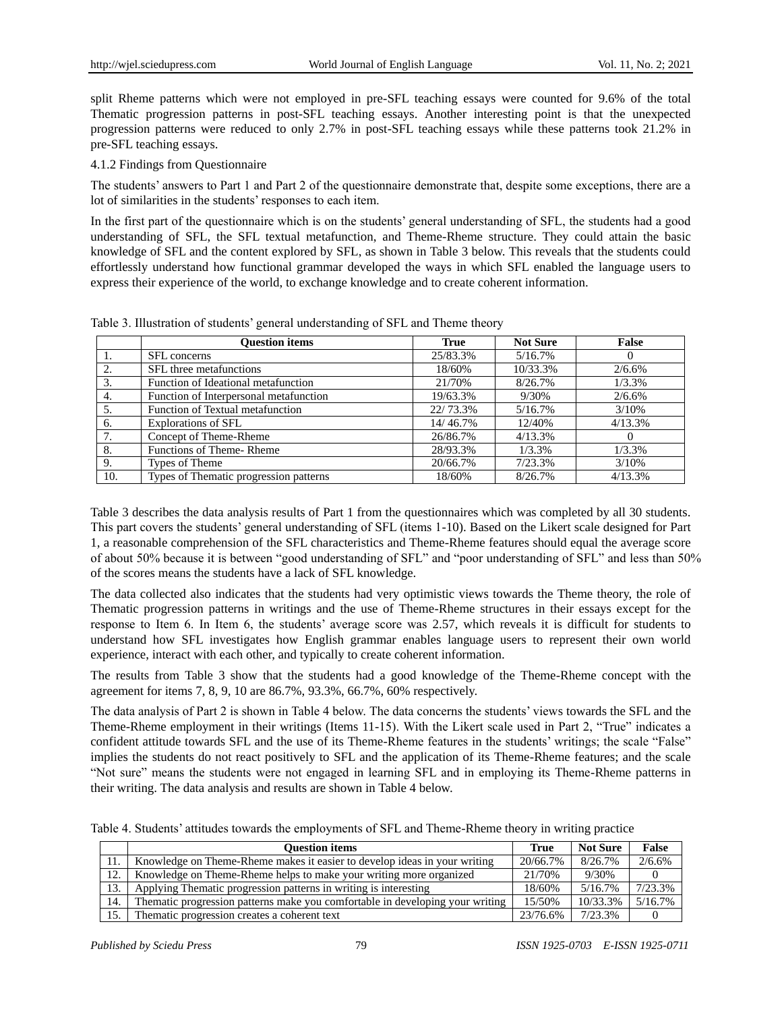split Rheme patterns which were not employed in pre-SFL teaching essays were counted for 9.6% of the total Thematic progression patterns in post-SFL teaching essays. Another interesting point is that the unexpected progression patterns were reduced to only 2.7% in post-SFL teaching essays while these patterns took 21.2% in pre-SFL teaching essays.

#### 4.1.2 Findings from Questionnaire

The students" answers to Part 1 and Part 2 of the questionnaire demonstrate that, despite some exceptions, there are a lot of similarities in the students' responses to each item.

In the first part of the questionnaire which is on the students' general understanding of SFL, the students had a good understanding of SFL, the SFL textual metafunction, and Theme-Rheme structure. They could attain the basic knowledge of SFL and the content explored by SFL, as shown in Table 3 below. This reveals that the students could effortlessly understand how functional grammar developed the ways in which SFL enabled the language users to express their experience of the world, to exchange knowledge and to create coherent information.

|     | <b>Ouestion items</b>                  | <b>True</b> | <b>Not Sure</b> | False    |
|-----|----------------------------------------|-------------|-----------------|----------|
|     | SFL concerns                           | 25/83.3%    | 5/16.7%         | O        |
| 2.  | SFL three metafunctions                | 18/60%      | 10/33.3%        | 2/6.6%   |
|     | Function of Ideational metafunction    | 21/70%      | 8/26.7%         | 1/3.3%   |
| 4.  | Function of Interpersonal metafunction | 19/63.3%    | 9/30%           | 2/6.6%   |
|     | Function of Textual metafunction       | 22/73.3%    | 5/16.7%         | 3/10%    |
| 6.  | Explorations of SFL                    | 14/46.7%    | 12/40%          | 4/13.3%  |
| 7.  | Concept of Theme-Rheme                 | 26/86.7%    | 4/13.3%         | $\theta$ |
| 8.  | Functions of Theme-Rheme               | 28/93.3%    | 1/3.3%          | 1/3.3%   |
| 9.  | Types of Theme                         | 20/66.7%    | 7/23.3%         | 3/10%    |
| 10. | Types of Thematic progression patterns | 18/60%      | 8/26.7%         | 4/13.3%  |

Table 3. Illustration of students" general understanding of SFL and Theme theory

Table 3 describes the data analysis results of Part 1 from the questionnaires which was completed by all 30 students. This part covers the students" general understanding of SFL (items 1-10). Based on the Likert scale designed for Part 1, a reasonable comprehension of the SFL characteristics and Theme-Rheme features should equal the average score of about 50% because it is between "good understanding of SFL" and "poor understanding of SFL" and less than 50% of the scores means the students have a lack of SFL knowledge.

The data collected also indicates that the students had very optimistic views towards the Theme theory, the role of Thematic progression patterns in writings and the use of Theme-Rheme structures in their essays except for the response to Item 6. In Item 6, the students" average score was 2.57, which reveals it is difficult for students to understand how SFL investigates how English grammar enables language users to represent their own world experience, interact with each other, and typically to create coherent information.

The results from Table 3 show that the students had a good knowledge of the Theme-Rheme concept with the agreement for items 7, 8, 9, 10 are 86.7%, 93.3%, 66.7%, 60% respectively.

The data analysis of Part 2 is shown in Table 4 below. The data concerns the students" views towards the SFL and the Theme-Rheme employment in their writings (Items 11-15). With the Likert scale used in Part 2, "True" indicates a confident attitude towards SFL and the use of its Theme-Rheme features in the students' writings; the scale "False" implies the students do not react positively to SFL and the application of its Theme-Rheme features; and the scale "Not sure" means the students were not engaged in learning SFL and in employing its Theme-Rheme patterns in their writing. The data analysis and results are shown in Table 4 below.

Table 4. Students' attitudes towards the employments of SFL and Theme-Rheme theory in writing practice

|     | <b>Ouestion items</b>                                                          |          | <b>Not Sure</b> | False      |
|-----|--------------------------------------------------------------------------------|----------|-----------------|------------|
| 11. | Knowledge on Theme-Rheme makes it easier to develop ideas in your writing      | 20/66.7% | 8/26.7%         | 2/6.6%     |
| 12. | Knowledge on Theme-Rheme helps to make your writing more organized             | 21/70\%  | 9/30%           |            |
| 13. | Applying Thematic progression patterns in writing is interesting               | 18/60%   | $5/16.7\%$      | 7/23.3%    |
| 14. | The matic progression patterns make you comfortable in developing your writing | 15/50%   | 10/33.3%        | $5/16.7\%$ |
| 15. | The matic progression creates a coherent text                                  | 23/76.6% | 7/23.3%         |            |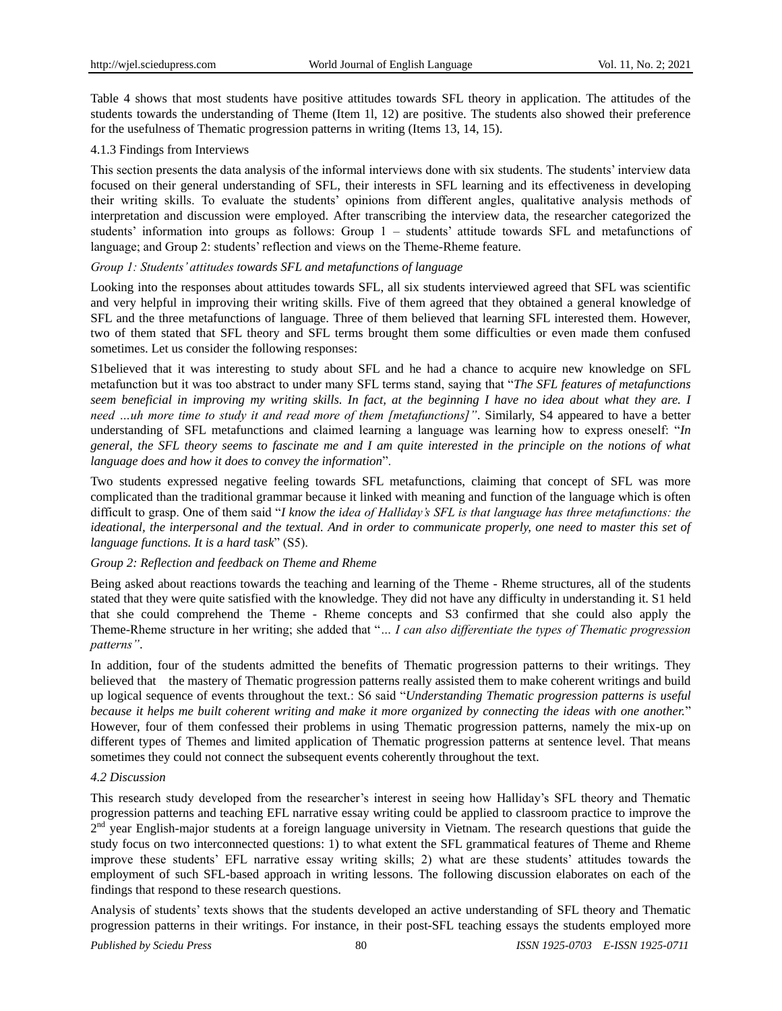Table 4 shows that most students have positive attitudes towards SFL theory in application. The attitudes of the students towards the understanding of Theme (Item 1l, 12) are positive. The students also showed their preference for the usefulness of Thematic progression patterns in writing (Items 13, 14, 15).

## 4.1.3 Findings from Interviews

This section presents the data analysis of the informal interviews done with six students. The students' interview data focused on their general understanding of SFL, their interests in SFL learning and its effectiveness in developing their writing skills. To evaluate the students" opinions from different angles, qualitative analysis methods of interpretation and discussion were employed. After transcribing the interview data, the researcher categorized the students" information into groups as follows: Group 1 – students" attitude towards SFL and metafunctions of language; and Group 2: students' reflection and views on the Theme-Rheme feature.

#### *Group 1: Students' attitudes towards SFL and metafunctions of language*

Looking into the responses about attitudes towards SFL, all six students interviewed agreed that SFL was scientific and very helpful in improving their writing skills. Five of them agreed that they obtained a general knowledge of SFL and the three metafunctions of language. Three of them believed that learning SFL interested them. However, two of them stated that SFL theory and SFL terms brought them some difficulties or even made them confused sometimes. Let us consider the following responses:

S1believed that it was interesting to study about SFL and he had a chance to acquire new knowledge on SFL metafunction but it was too abstract to under many SFL terms stand, saying that "*The SFL features of metafunctions seem beneficial in improving my writing skills. In fact, at the beginning I have no idea about what they are. I need …uh more time to study it and read more of them [metafunctions]"*. Similarly, S4 appeared to have a better understanding of SFL metafunctions and claimed learning a language was learning how to express oneself: "*In general, the SFL theory seems to fascinate me and I am quite interested in the principle on the notions of what language does and how it does to convey the information*".

Two students expressed negative feeling towards SFL metafunctions, claiming that concept of SFL was more complicated than the traditional grammar because it linked with meaning and function of the language which is often difficult to grasp. One of them said "*I know the idea of Halliday's SFL is that language has three metafunctions: the ideational, the interpersonal and the textual. And in order to communicate properly, one need to master this set of language functions. It is a hard task*" (S5).

## *Group 2: Reflection and feedback on Theme and Rheme*

Being asked about reactions towards the teaching and learning of the Theme - Rheme structures, all of the students stated that they were quite satisfied with the knowledge. They did not have any difficulty in understanding it. S1 held that she could comprehend the Theme - Rheme concepts and S3 confirmed that she could also apply the Theme-Rheme structure in her writing; she added that "*… I can also differentiate the types of Thematic progression patterns"*.

In addition, four of the students admitted the benefits of Thematic progression patterns to their writings. They believed that the mastery of Thematic progression patterns really assisted them to make coherent writings and build up logical sequence of events throughout the text.: S6 said "*Understanding Thematic progression patterns is useful because it helps me built coherent writing and make it more organized by connecting the ideas with one another.*" However, four of them confessed their problems in using Thematic progression patterns, namely the mix-up on different types of Themes and limited application of Thematic progression patterns at sentence level. That means sometimes they could not connect the subsequent events coherently throughout the text.

## *4.2 Discussion*

This research study developed from the researcher"s interest in seeing how Halliday"s SFL theory and Thematic progression patterns and teaching EFL narrative essay writing could be applied to classroom practice to improve the 2<sup>nd</sup> year English-major students at a foreign language university in Vietnam. The research questions that guide the study focus on two interconnected questions: 1) to what extent the SFL grammatical features of Theme and Rheme improve these students" EFL narrative essay writing skills; 2) what are these students" attitudes towards the employment of such SFL-based approach in writing lessons. The following discussion elaborates on each of the findings that respond to these research questions.

Analysis of students' texts shows that the students developed an active understanding of SFL theory and Thematic progression patterns in their writings. For instance, in their post-SFL teaching essays the students employed more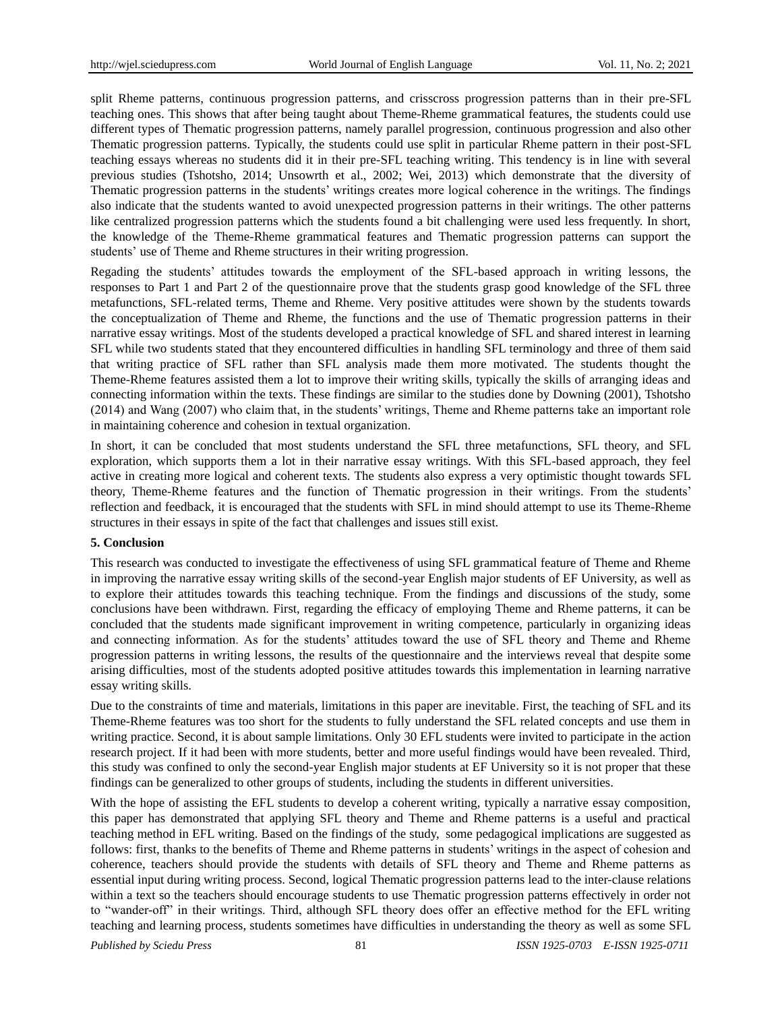split Rheme patterns, continuous progression patterns, and crisscross progression patterns than in their pre-SFL teaching ones. This shows that after being taught about Theme-Rheme grammatical features, the students could use different types of Thematic progression patterns, namely parallel progression, continuous progression and also other Thematic progression patterns. Typically, the students could use split in particular Rheme pattern in their post-SFL teaching essays whereas no students did it in their pre-SFL teaching writing. This tendency is in line with several previous studies (Tshotsho, 2014; Unsowrth et al., 2002; Wei, 2013) which demonstrate that the diversity of Thematic progression patterns in the students" writings creates more logical coherence in the writings. The findings also indicate that the students wanted to avoid unexpected progression patterns in their writings. The other patterns like centralized progression patterns which the students found a bit challenging were used less frequently. In short, the knowledge of the Theme-Rheme grammatical features and Thematic progression patterns can support the students' use of Theme and Rheme structures in their writing progression.

Regading the students" attitudes towards the employment of the SFL-based approach in writing lessons, the responses to Part 1 and Part 2 of the questionnaire prove that the students grasp good knowledge of the SFL three metafunctions, SFL-related terms, Theme and Rheme. Very positive attitudes were shown by the students towards the conceptualization of Theme and Rheme, the functions and the use of Thematic progression patterns in their narrative essay writings. Most of the students developed a practical knowledge of SFL and shared interest in learning SFL while two students stated that they encountered difficulties in handling SFL terminology and three of them said that writing practice of SFL rather than SFL analysis made them more motivated. The students thought the Theme-Rheme features assisted them a lot to improve their writing skills, typically the skills of arranging ideas and connecting information within the texts. These findings are similar to the studies done by Downing (2001), Tshotsho (2014) and Wang (2007) who claim that, in the students" writings, Theme and Rheme patterns take an important role in maintaining coherence and cohesion in textual organization.

In short, it can be concluded that most students understand the SFL three metafunctions, SFL theory, and SFL exploration, which supports them a lot in their narrative essay writings. With this SFL-based approach, they feel active in creating more logical and coherent texts. The students also express a very optimistic thought towards SFL theory, Theme-Rheme features and the function of Thematic progression in their writings. From the students" reflection and feedback, it is encouraged that the students with SFL in mind should attempt to use its Theme-Rheme structures in their essays in spite of the fact that challenges and issues still exist.

#### **5. Conclusion**

This research was conducted to investigate the effectiveness of using SFL grammatical feature of Theme and Rheme in improving the narrative essay writing skills of the second-year English major students of EF University, as well as to explore their attitudes towards this teaching technique. From the findings and discussions of the study, some conclusions have been withdrawn. First, regarding the efficacy of employing Theme and Rheme patterns, it can be concluded that the students made significant improvement in writing competence, particularly in organizing ideas and connecting information. As for the students" attitudes toward the use of SFL theory and Theme and Rheme progression patterns in writing lessons, the results of the questionnaire and the interviews reveal that despite some arising difficulties, most of the students adopted positive attitudes towards this implementation in learning narrative essay writing skills.

Due to the constraints of time and materials, limitations in this paper are inevitable. First, the teaching of SFL and its Theme-Rheme features was too short for the students to fully understand the SFL related concepts and use them in writing practice. Second, it is about sample limitations. Only 30 EFL students were invited to participate in the action research project. If it had been with more students, better and more useful findings would have been revealed. Third, this study was confined to only the second-year English major students at EF University so it is not proper that these findings can be generalized to other groups of students, including the students in different universities.

With the hope of assisting the EFL students to develop a coherent writing, typically a narrative essay composition, this paper has demonstrated that applying SFL theory and Theme and Rheme patterns is a useful and practical teaching method in EFL writing. Based on the findings of the study, some pedagogical implications are suggested as follows: first, thanks to the benefits of Theme and Rheme patterns in students' writings in the aspect of cohesion and coherence, teachers should provide the students with details of SFL theory and Theme and Rheme patterns as essential input during writing process. Second, logical Thematic progression patterns lead to the inter-clause relations within a text so the teachers should encourage students to use Thematic progression patterns effectively in order not to "wander-off" in their writings. Third, although SFL theory does offer an effective method for the EFL writing teaching and learning process, students sometimes have difficulties in understanding the theory as well as some SFL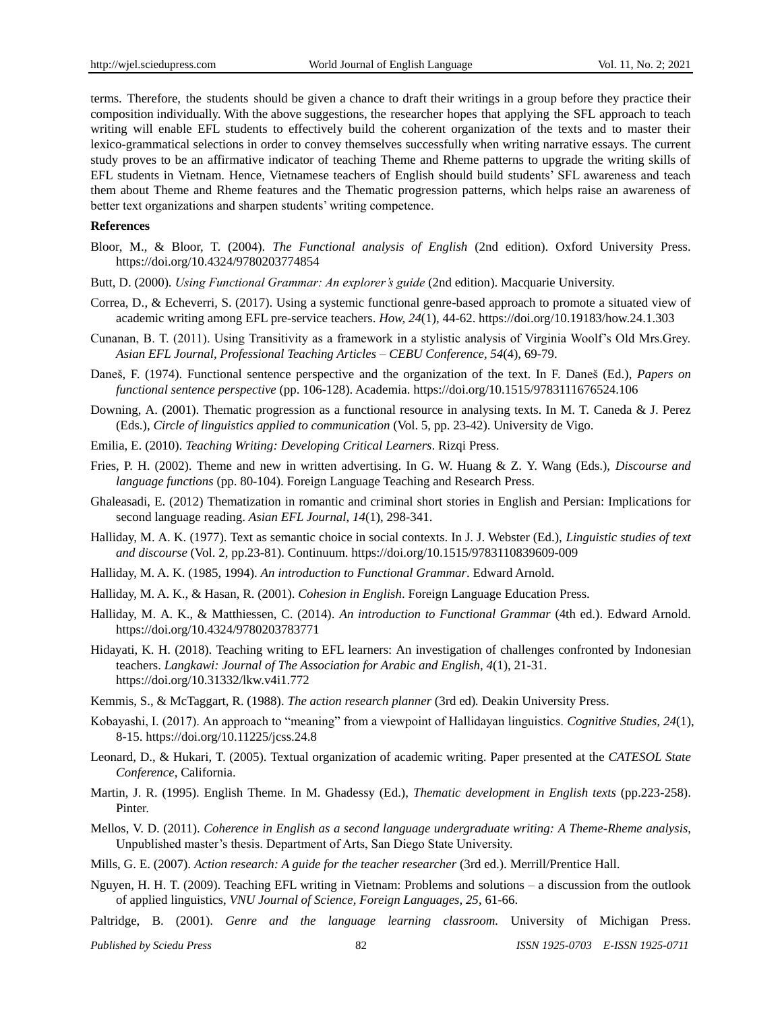terms. Therefore, the students should be given a chance to draft their writings in a group before they practice their composition individually. With the above suggestions, the researcher hopes that applying the SFL approach to teach writing will enable EFL students to effectively build the coherent organization of the texts and to master their lexico-grammatical selections in order to convey themselves successfully when writing narrative essays. The current study proves to be an affirmative indicator of teaching Theme and Rheme patterns to upgrade the writing skills of EFL students in Vietnam. Hence, Vietnamese teachers of English should build students" SFL awareness and teach them about Theme and Rheme features and the Thematic progression patterns, which helps raise an awareness of better text organizations and sharpen students' writing competence.

#### **References**

- Bloor, M., & Bloor, T. (2004). *The Functional analysis of English* (2nd edition). Oxford University Press. https://doi.org/10.4324/9780203774854
- Butt, D. (2000). *Using Functional Grammar: An explorer's guide* (2nd edition). Macquarie University.
- Correa, D., & Echeverri, S. (2017). Using a systemic functional genre-based approach to promote a situated view of academic writing among EFL pre-service teachers. *How, 24*(1), 44-62.<https://doi.org/10.19183/how.24.1.303>
- Cunanan, B. T. (2011). Using Transitivity as a framework in a stylistic analysis of Virginia Woolf"s Old Mrs.Grey. *Asian EFL Journal, Professional Teaching Articles – CEBU Conference, 54*(4), 69-79.
- Daneš, F. (1974). Functional sentence perspective and the organization of the text. In F. Daneš (Ed.), *Papers on functional sentence perspective* (pp. 106-128). Academia. https://doi.org/10.1515/9783111676524.106
- Downing, A. (2001). Thematic progression as a functional resource in analysing texts. In M. T. Caneda & J. Perez (Eds.), *Circle of linguistics applied to communication* (Vol. 5, pp. 23-42). University de Vigo.
- Emilia, E. (2010). *Teaching Writing: Developing Critical Learners*. Rizqi Press.
- Fries, P. H. (2002). Theme and new in written advertising. In G. W. Huang & Z. Y. Wang (Eds.), *Discourse and language functions* (pp. 80-104). Foreign Language Teaching and Research Press.
- Ghaleasadi, E. (2012) Thematization in romantic and criminal short stories in English and Persian: Implications for second language reading. *Asian EFL Journal*, *14*(1), 298-341.
- Halliday, M. A. K. (1977). Text as semantic choice in social contexts. In J. J. Webster (Ed.), *Linguistic studies of text and discourse* (Vol. 2, pp.23-81). Continuum. https://doi.org/10.1515/9783110839609-009
- Halliday, M. A. K. (1985, 1994). *An introduction to Functional Grammar*. Edward Arnold.
- Halliday, M. A. K., & Hasan, R. (2001). *Cohesion in English*. Foreign Language Education Press.
- Halliday, M. A. K., & Matthiessen, C. (2014). *An introduction to Functional Grammar* (4th ed.). Edward Arnold. https://doi.org/10.4324/9780203783771
- Hidayati, K. H. (2018). Teaching writing to EFL learners: An investigation of challenges confronted by Indonesian teachers. *Langkawi: Journal of The Association for Arabic and English, 4*(1), 21-31. https://doi.org/10.31332/lkw.v4i1.772
- Kemmis, S., & McTaggart, R. (1988). *The action research planner* (3rd ed)*.* Deakin University Press.
- Kobayashi, I. (2017). An approach to "meaning" from a viewpoint of Hallidayan linguistics. *Cognitive Studies, 24*(1), 8-15.<https://doi.org/10.11225/jcss.24.8>
- Leonard, D., & Hukari, T. (2005). Textual organization of academic writing. Paper presented at the *CATESOL State Conference*, California.
- Martin, J. R. (1995). English Theme. In M. Ghadessy (Ed.), *Thematic development in English texts* (pp.223-258). Pinter.
- Mellos, V. D. (2011). *Coherence in English as a second language undergraduate writing: A Theme-Rheme analysis*, Unpublished master"s thesis. Department of Arts, San Diego State University.
- Mills, G. E. (2007). *Action research: A guide for the teacher researcher* (3rd ed.). Merrill/Prentice Hall.
- Nguyen, H. H. T. (2009). Teaching EFL writing in Vietnam: Problems and solutions a discussion from the outlook of applied linguistics, *VNU Journal of Science, Foreign Languages, 25*, 61-66.
- Paltridge, B. (2001). *Genre and the language learning classroom.* University of Michigan Press.